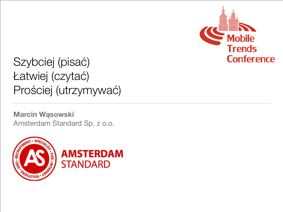

Szybciej (pisać) Łatwiej (czytać) Prościej (utrzymywać)

**Marcin Wąsowski**  Amsterdam Standard Sp. z o.o.



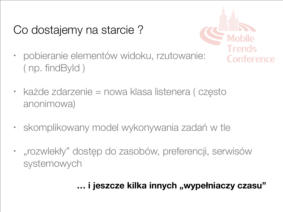## Co dostajemy na starcie ?



- pobieranie elementów widoku, rzutowanie: ( np. findById )
- każde zdarzenie = nowa klasa listenera ( często anonimowa)
- skomplikowany model wykonywania zadań w tle
- "rozwlekły" dostęp do zasobów, preferencji, serwisów systemowych

### ... i jeszcze kilka innych "wypełniaczy czasu"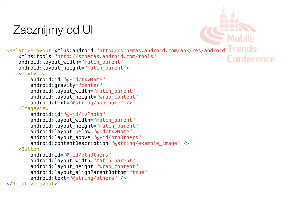### Zacznijmy od UI

<RelativeLayout xmlns:android="http://schemas.android.com/apk/res/android" xmlns:tools="http://schemas.android.com/tools" **Conference** android: layout width="match parent" android: layout\_height="match\_parent"> <TextView android: id="@+id/txvName" android:gravity="center" android: layout\_width="match\_parent" android:layout\_height="wrap\_content" android:text="@string/app\_name" /> <ImageView android:id="@+id/ivPhoto" android: layout width="match parent" android: layout\_height="match\_parent" android: layout below="@id/txvName" android: layout\_above="@+id/btn0thers" android:contentDescription="@string/example\_image" /> <Button android:id="@+id/btn0thers"

android: layout\_width="match\_parent" android: layout\_height="wrap\_content" android:layout\_alignParentBottom="true" android:text="@string/others" /> </RelativeLayout>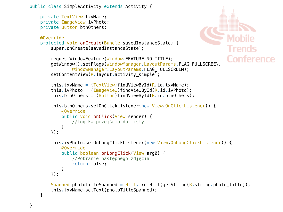```
public class SimpleActivity extends Activity {
```
 private TextView txvName; private ImageView ivPhoto; private Button btnOthers;

```
 @Override
 protected void onCreate(Bundle savedInstanceState) {
    super.onCreate(savedInstanceState);
```

```
 requestWindowFeature(Window.FEATURE_NO_TITLE);
 getWindow().setFlags(WindowManager.LayoutParams.FLAG_FULLSCREEN, 
        WindowManager.LayoutParams.FLAG_FULLSCREEN);
setContentView(R.layout.activity simple);
```
**Conference** 

```
this.txvName = (TextView) findViewById(R.id.txvName);
this.ivPhoto = (ImageView) findViewById(R.id.ivPhoto);
this.btnOthers = (Button) findViewById(R.id.btnOthers);
```

```
 this.btnOthers.setOnClickListener(new View.OnClickListener() {
            @Override
            public void onClick(View sender) {
                //Logika przejścia do listy
 }
        });
```

```
 this.ivPhoto.setOnLongClickListener(new View.OnLongClickListener() {
            @Override
            public boolean onLongClick(View arg0) {
                //Pobranie następnego zdjęcia
                return false;
 }
```

```
 });
```

```
Spanned photoTitleSpanned = Html.fromHtml(getString(R.string.photo_fitle)); this.txvName.setText(photoTitleSpanned);
```
}

}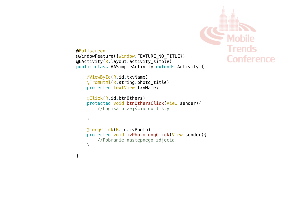

```
@Fullscreen
@WindowFeature({Window.FEATURE_NO_TITLE})
@EActivity(R.layout.activity_simple)
public class AASimpleActivity extends Activity {
```

```
 @ViewById(R.id.txvName)
 @FromHtml(R.string.photo_title)
 protected TextView txvName;
```

```
 @Click(R.id.btnOthers)
 protected void btnOthersClick(View sender){
     //Logika przejścia do listy
```
#### }

}

```
 @LongClick(R.id.ivPhoto)
 protected void ivPhotoLongClick(View sender){
     //Pobranie następnego zdjęcia
 }
```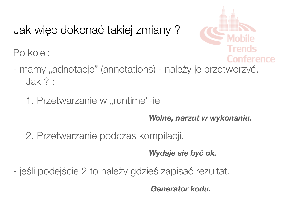Jak więc dokonać takiej zmiany ?

Po kolei:



- mamy "adnotacje" (annotations) należy je przetworzyć. Jak ? :
	- 1. Przetwarzanie w "runtime"-ie

*Wolne, narzut w wykonaniu.*

2. Przetwarzanie podczas kompilacji.

*Wydaje się być ok.*

- jeśli podejście 2 to należy gdzieś zapisać rezultat.

 *Generator kodu.*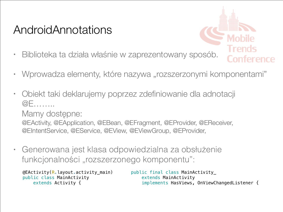### AndroidAnnotations

- 
- Biblioteka ta działa właśnie w zaprezentowany sposób.
- Wprowadza elementy, które nazywa "rozszerzonymi komponentami"
- Obiekt taki deklarujemy poprzez zdefiniowanie dla adnotacji @E……..

Mamy dostępne:

@EActivity, @EApplication, @EBean, @EFragment, @EProvider, @EReceiver, @EIntentService, @EService, @EView, @EViewGroup, @EProvider,

• Generowana jest klasa odpowiedzialna za obsłużenie funkcjonalności "rozszerzonego komponentu":

public final class MainActivity\_ extends MainActivity implements HasViews, OnViewChangedListener { @EActivity(R.layout.activity\_main) public class MainActivity extends Activity {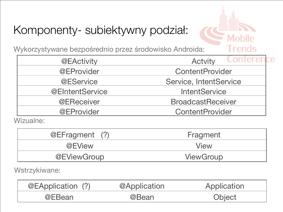# Komponenty- subiektywny podział:

Wykorzystywane bezpośrednio przez środowisko Androida:

| @EActivity             | Conicidad<br><b>Actvity</b> |  |  |
|------------------------|-----------------------------|--|--|
| @EProvider             | ContentProvider             |  |  |
| @EService              | Service, IntentService      |  |  |
| <b>@EIntentService</b> | <b>IntentService</b>        |  |  |
| @EReceiver             | <b>BroadcastReceiver</b>    |  |  |
| @EProvider             | ContentProvider             |  |  |

Trends

Wizualne:

| @EFragment (?)     | Fragment    |
|--------------------|-------------|
| @EView             | <b>View</b> |
| <b>@EViewGroup</b> | ViewGroup   |

Wstrzykiwane:

| @EApplication (?) | @Application | Application |
|-------------------|--------------|-------------|
| @EBean            | @Bean        | Object      |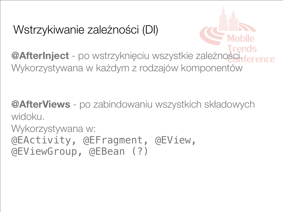### Wstrzykiwanie zależności (DI)

**@AfterInject** - po wstrzyknięciu wszystkie zależności. Wykorzystywana w każdym z rodzajów komponentów

**@AfterViews** - po zabindowaniu wszystkich składowych widoku.

Wykorzystywana w: @EActivity, @EFragment, @EView, @EViewGroup, @EBean (?)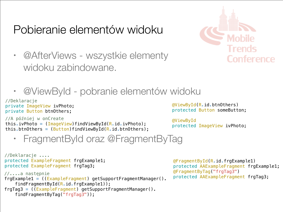### Pobieranie elementów widoku



- @AfterViews wszystkie elementy widoku zabindowane.
- @ViewById pobranie elementów widoku

//Deklaracje private ImageView ivPhoto; private Button btnOthers;

```
//A później w onCreate
```

```
this.ivPhoto = (ImageView) findViewById(R.id.ivPhoto);
this.btnOthers = (Button) findViewById(R.id.btnOthers);
```
@ViewById(R.id.btnOthers) protected Button someButton;

@ViewById protected ImageView ivPhoto;

```
• FragmentById oraz @FragmentByTag
```

```
//Deklaracje ....
protected ExampleFragment frgExample1;
protected ExampleFragment frgTag3;
//....a następnie
frgExample1 = ((ExampleFragment) getSupportFragmentManager().
    findFragmentById(R.id.frgExample1));
frgTag3 = ((ExampleFragment) getSupportFragmentManager().
    findFragmentByTag("frgTag3"));
```
@FragmentById(R.id.frgExample1) protected AAExampleFragment frgExample1; @FragmentByTag("frgTag3") protected AAExampleFragment frgTag3;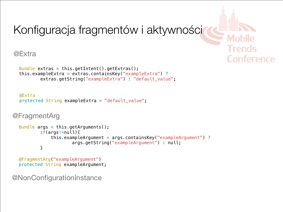

```
@Extra
```

```
Bundle extras = this.getIntent().getExtras();
this.exampleExtra = extras.containsKey("exampleExtra") ?
        extras.getString("exampleExtra") : "default value";
```

```
@Extra
protected String exampleExtra = "default_value";
```

```
@FragmentArg
```

```
Bundle args = this.getArguments();
        if(args!=null){
             this.exampleArgument = args.containsKey("exampleArgument") ?
                     args.getString("exampleArgument") : null;
         }
```

```
@FragmentArg("exampleArgument")
protected String exampleArgument;
```
@NonConfigurationInstance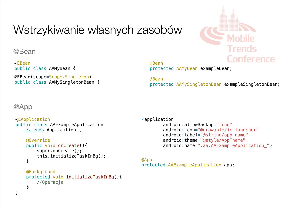### Wstrzykiwanie własnych zasobów



@Bean

@EBean public class AAMyBean {

@EBean(scope=Scope.Singleton) public class AAMySingletonBean { @Bean protected AAMyBean exampleBean;

@Bean protected AAMySingletonBean exampleSingletonBean;

### @App

}

```
@EApplication
```

```
public class AAExampleApplication 
   extends Application {
```

```
 @Override
 public void onCreate(){
     super.onCreate();
     this.initializeTaskInBg();
 }
```

```
 @Background
    protected void initializeTaskInBg(){
         //Operacje
 }
```
<application android:allowBackup="true" android: icon="@drawable/ic\_launcher" android:label="@string/app\_name" android:theme="@style/AppTheme" android:name=".aa.AAExampleApplication\_">

```
@App
protected AAExampleApplication app;
```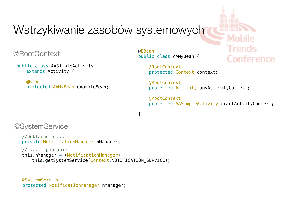### Wstrzykiwanie zasobów systemowych

@RootContext

public class AASimpleActivity extends Activity {

> @Bean protected AAMyBean exampleBean;

@EBean public class AAMyBean {

> @RootContext protected Context context;

 @RootContext protected Activity anyActivityContext;

 @RootContext protected AASimpleActivity exactActvityContext;

Trends

**Conference** 

}

### @SystemService

//Deklaracja ... private NotificationManager nManager;

 // ... i pobranie this.nManager = (NotificationManager) this.getSystemService(Context.NOTIFICATION\_SERVICE);

@SystemService protected NotificationManager nManager;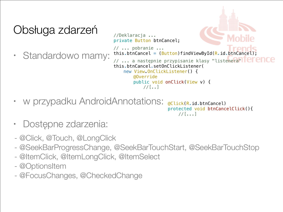### Obsługa zdarzeń

• Standardowo mamy:



- w przypadku AndroidAnnotations: @Click(R.id.btnCancel) protected void btnCancelClick(){ //[...]
- Dostępne zdarzenia:
- @Click, @Touch, @LongClick
- @SeekBarProgressChange, @SeekBarTouchStart, @SeekBarTouchStop
- @ItemClick, @ItemLongClick, @ItemSelect
- @OptionsItem
- @FocusChanges, @CheckedChange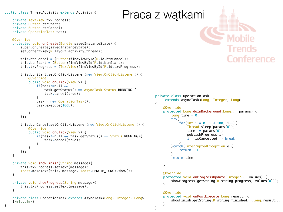### public class ThreadActivity extends Activity { Praca z watkami

}

 private TextView txvProgress; private Button btnStart; private Button btnCancel; private OperationTask task;

#### @Override

```
 protected void onCreate(Bundle savedInstanceState) {
     super.onCreate(savedInstanceState);
    setContentView(R.layout.activity_thread);
```

```
this.btnCancel = (Button) findViewById(R.id.btnCancel);this.btnStart = (Button) findViewById(R.id.btnStart);this.txvProgress = (TextView) findViewById(R.id.txtProgress);
```

```
 this.btnStart.setOnClickListener(new View.OnClickListener() {
            @Override
            public void onClick(View v) {
                if(task!=null &&
                    task.getStatus() == AsyncTask.Status.RUNNING){
                    task.cancel(true);
 }
               task = new OperationTask();
```

```
 }
    });
```

```
 this.btnCancel.setOnClickListener(new View.OnClickListener() {
            @Override
            public void onClick(View v) {
               if(task!=null \&& \text{task.getStatus}() == Status.RUNNING){
                   task.cancel(true);
 }
 }
        });
```

```
 private void showFinish(String message){
     this.txvProgress.setText(message);
     Toast.makeText(this, message, Toast.LENGTH_LONG).show();
 }
```

```
 private void showProgress(String message){
     this.txvProgress.setText(message);
 }
```
task.execute(100L);

```
 private class OperationTask extends AsyncTask<Long, Integer, Long>
\{ x | x | y | x \}
```


```
private class OperationTask 
     extends AsyncTask<Long, Integer, Long>
\{ @Override
     protected Long doInBackground(Long... params) {
        long time = 0;
         try{
            for(int i = 0; i < 100; i++){
                Thread.sleep(params[0]);
                time += params[0];
                 publishProgress(i);
                 if (isCancelled()) break;
 }
         }catch(InterruptedException e){
             return -1L;
         }
         return time;
     }
     @Override
     protected void onProgressUpdate(Integer... values) {
        showProgress(getString(R.string.progress, values[0]));
     }
     @Override
     protected void onPostExecute(Long result) {
        showFinish(getString(R.string.finished, (long)result));
     }
```
}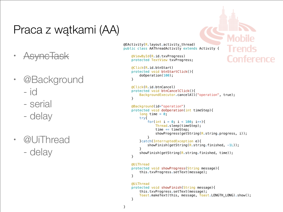### Praca z wątkami (AA)

- AsyncTask
- @Background
	- id
	- serial
	- delay
- @UiThread - delay

 $@EActivity(R_{\cdot}$ layout.activity thread) public class AAThreadActivity extends Activity {

 @ViewById(R.id.txvProgress) protected TextView txvProgress;

 @Click(R.id.btnStart) protected void btnStartClick(){ doOperation(100); }

```
 @Click(R.id.btnCancel)
 protected void btnCancelClick(){
     BackgroundExecutor.cancelAll("operation", true);
 }
```
Trends

Conference

```
 @Background(id="operation")
    protected void doOperation(int timeStep){
       long time = 0;
        try{
           for(int i = 0; i < 100; i++){
               Thread.sleep(timeStep);
               time += timeStep;
               showProgress(getString(R.string.progress, i));
 }
        }catch(InterruptedException e){
           showFinish(getString(R.string.finished, -1L));
 }
       showFinish(getString(R.string.finished, time));
    }
```
 @UiThread protected void showProgress(String message){ this.txvProgress.setText(message);

```
 }
 @UiThread
```

```
 protected void showFinish(String message){
     this.txvProgress.setText(message);
     Toast.makeText(this, message, Toast.LENGTH_LONG).show();
 }
```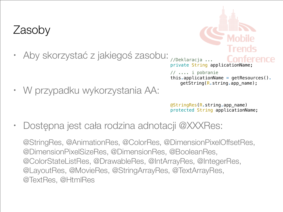### Zasoby

• Aby skorzystać z jakiegoś zasobu:

• W przypadku wykorzystania AA:

//Deklaracja ... private String applicationName;

// .... i pobranie this.applicationName = getResources(). getString(R.string.app\_name);

@StringRes(R.string.app\_name) protected String applicationName;

• Dostępna jest cała rodzina adnotacji @XXXRes:

@StringRes, @AnimationRes, @ColorRes, @DimensionPixelOffsetRes, @DimensionPixelSizeRes, @DimensionRes, @BooleanRes, @ColorStateListRes, @DrawableRes, @IntArrayRes, @IntegerRes, @LayoutRes, @MovieRes, @StringArrayRes, @TextArrayRes, @TextRes, @HtmlRes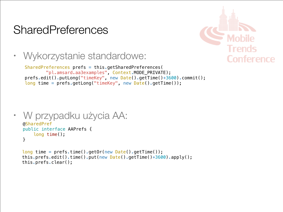### **SharedPreferences**



• Wykorzystanie standardowe:

```
SharedPreferences prefs = this.getSharedPreferences(
         "pl.amsard.aa3examples", Context.MODE_PRIVATE);
prefs.edit().putLong("timeKey", new Date().getTime()+3600).commit();
long time = prefs.getLong("timeKey", new Date().getTime());
```

```
• W przypadku użycia AA:
  @SharedPref
  public interface AAPrefs {
       long time();
   }
```

```
long time = prefix.time().getOr(new Date().getTime());
this.prefs.edit().time().put(new Date().getTime()+3600).apply();
this.prefs.clear();
```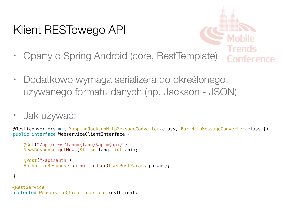### Klient RESTowego API



- Oparty o Spring Android (core, RestTemplate)
- Dodatkowo wymaga serializera do określonego, używanego formatu danych (np. Jackson - JSON)
- Jak używać:

```
@Rest(converters = { MappingJacksonHttpMessageConverter.class, FormHttpMessageConverter.class })
public interface WebserviceClientInterface {
```

```
 @Get("/api/news?lang={lang}&api={api}")
 NewsResponse getNews(String lang, int api);
```

```
 @Post("/api/auth")
AuthorizeResponse authorizeUser(UserPostParams params);
```
#### }

```
@RestService
protected WebserviceClientInterface restClient;
```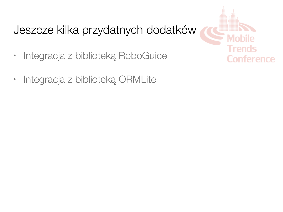### Jeszcze kilka przydatnych dodatków

- Integracja z biblioteką RoboGuice
- Integracja z biblioteką ORMLite